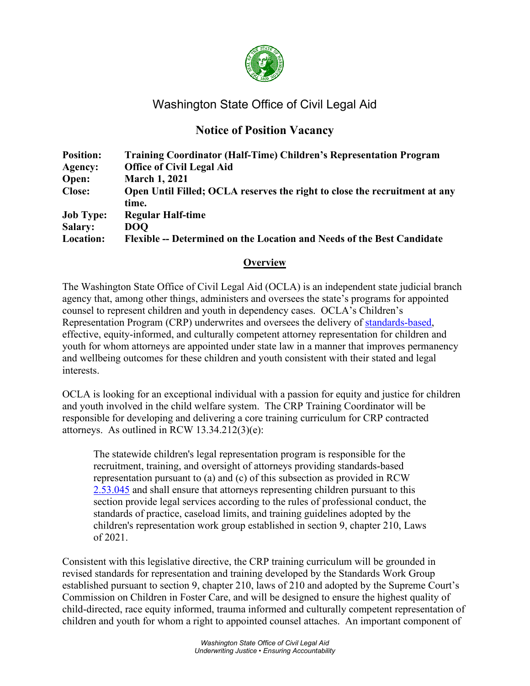

# Washington State Office of Civil Legal Aid

# **Notice of Position Vacancy**

| <b>Position:</b> | <b>Training Coordinator (Half-Time) Children's Representation Program</b>  |
|------------------|----------------------------------------------------------------------------|
| Agency:          | <b>Office of Civil Legal Aid</b>                                           |
| Open:            | <b>March 1, 2021</b>                                                       |
| <b>Close:</b>    | Open Until Filled; OCLA reserves the right to close the recruitment at any |
|                  | time.                                                                      |
| <b>Job Type:</b> | <b>Regular Half-time</b>                                                   |
| <b>Salary:</b>   | <b>DOO</b>                                                                 |
| Location:        | Flexible -- Determined on the Location and Needs of the Best Candidate     |

## **Overview**

The Washington State Office of Civil Legal Aid (OCLA) is an independent state judicial branch agency that, among other things, administers and oversees the state's programs for appointed counsel to represent children and youth in dependency cases. OCLA's Children's Representation Program (CRP) underwrites and oversees the delivery of [standards-based,](https://gcc02.safelinks.protection.outlook.com/?url=http%3A%2F%2Fwww.courts.wa.gov%2Fcontent%2FPublicUpload%2FCommission%2520on%2520Children%2520in%2520Foster%2520Care%2FHB%25202735%2520Full%2520Final%2520Report%2520with%2520Appendices.pdf&data=04%7C01%7Cbailey.zydek%40ocla.wa.gov%7Cc871d10511494685ea2608d9b90491d7%7C11d0e217264e400a8ba057dcc127d72d%7C0%7C0%7C637744251535179502%7CUnknown%7CTWFpbGZsb3d8eyJWIjoiMC4wLjAwMDAiLCJQIjoiV2luMzIiLCJBTiI6Ik1haWwiLCJXVCI6Mn0%3D%7C3000&sdata=tM%2FEPYwl0vk0mN1iKmmLeD91zGCx8j0LzcDL6Lp%2BY00%3D&reserved=0) effective, equity-informed, and culturally competent attorney representation for children and youth for whom attorneys are appointed under state law in a manner that improves permanency and wellbeing outcomes for these children and youth consistent with their stated and legal interests.

OCLA is looking for an exceptional individual with a passion for equity and justice for children and youth involved in the child welfare system. The CRP Training Coordinator will be responsible for developing and delivering a core training curriculum for CRP contracted attorneys. As outlined in RCW 13.34.212(3)(e):

The statewide children's legal representation program is responsible for the recruitment, training, and oversight of attorneys providing standards-based representation pursuant to (a) and (c) of this subsection as provided in RCW [2.53.045](http://app.leg.wa.gov/RCW/default.aspx?cite=2.53.045) and shall ensure that attorneys representing children pursuant to this section provide legal services according to the rules of professional conduct, the standards of practice, caseload limits, and training guidelines adopted by the children's representation work group established in section 9, chapter 210, Laws of 2021.

Consistent with this legislative directive, the CRP training curriculum will be grounded in revised standards for representation and training developed by the Standards Work Group established pursuant to section 9, chapter 210, laws of 210 and adopted by the Supreme Court's Commission on Children in Foster Care, and will be designed to ensure the highest quality of child-directed, race equity informed, trauma informed and culturally competent representation of children and youth for whom a right to appointed counsel attaches. An important component of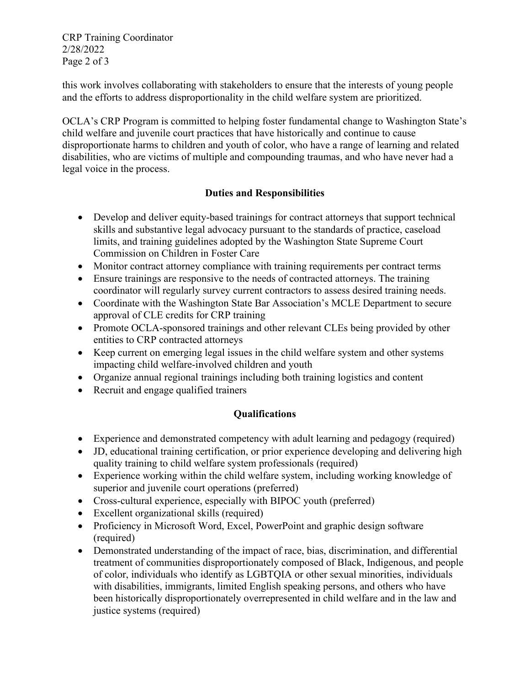CRP Training Coordinator 2/28/2022 Page 2 of 3

this work involves collaborating with stakeholders to ensure that the interests of young people and the efforts to address disproportionality in the child welfare system are prioritized.

OCLA's CRP Program is committed to helping foster fundamental change to Washington State's child welfare and juvenile court practices that have historically and continue to cause disproportionate harms to children and youth of color, who have a range of learning and related disabilities, who are victims of multiple and compounding traumas, and who have never had a legal voice in the process.

## **Duties and Responsibilities**

- Develop and deliver equity-based trainings for contract attorneys that support technical skills and substantive legal advocacy pursuant to the standards of practice, caseload limits, and training guidelines adopted by the Washington State Supreme Court Commission on Children in Foster Care
- Monitor contract attorney compliance with training requirements per contract terms
- Ensure trainings are responsive to the needs of contracted attorneys. The training coordinator will regularly survey current contractors to assess desired training needs.
- Coordinate with the Washington State Bar Association's MCLE Department to secure approval of CLE credits for CRP training
- Promote OCLA-sponsored trainings and other relevant CLEs being provided by other entities to CRP contracted attorneys
- Keep current on emerging legal issues in the child welfare system and other systems impacting child welfare-involved children and youth
- Organize annual regional trainings including both training logistics and content
- Recruit and engage qualified trainers

## **Qualifications**

- Experience and demonstrated competency with adult learning and pedagogy (required)
- JD, educational training certification, or prior experience developing and delivering high quality training to child welfare system professionals (required)
- Experience working within the child welfare system, including working knowledge of superior and juvenile court operations (preferred)
- Cross-cultural experience, especially with BIPOC youth (preferred)
- Excellent organizational skills (required)
- Proficiency in Microsoft Word, Excel, PowerPoint and graphic design software (required)
- Demonstrated understanding of the impact of race, bias, discrimination, and differential treatment of communities disproportionately composed of Black, Indigenous, and people of color, individuals who identify as LGBTQIA or other sexual minorities, individuals with disabilities, immigrants, limited English speaking persons, and others who have been historically disproportionately overrepresented in child welfare and in the law and justice systems (required)